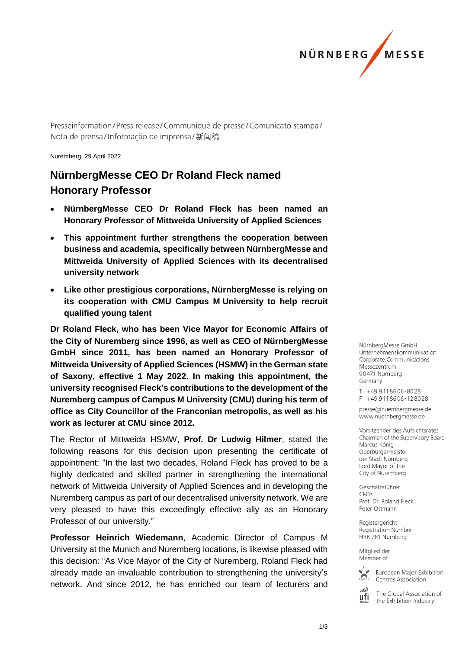

Presseinformation/Press release/Communiqué de presse/Comunicato stampa/ Nota de prensa/Informação de imprensa/新闻稿

Nuremberg, 29 April 2022

## **NürnbergMesse CEO Dr Roland Fleck named Honorary Professor**

- **NürnbergMesse CEO Dr Roland Fleck has been named an Honorary Professor of Mittweida University of Applied Sciences**
- **This appointment further strengthens the cooperation between business and academia, specifically between NürnbergMesse and Mittweida University of Applied Sciences with its decentralised university network**
- **Like other prestigious corporations, NürnbergMesse is relying on its cooperation with CMU Campus M University to help recruit qualified young talent**

**Dr Roland Fleck, who has been Vice Mayor for Economic Affairs of the City of Nuremberg since 1996, as well as CEO of NürnbergMesse GmbH since 2011, has been named an Honorary Professor of Mittweida University of Applied Sciences (HSMW) in the German state of Saxony, effective 1 May 2022. In making this appointment, the university recognised Fleck's contributions to the development of the Nuremberg campus of Campus M University (CMU) during his term of office as City Councillor of the Franconian metropolis, as well as his work as lecturer at CMU since 2012.** 

The Rector of Mittweida HSMW, **Prof. Dr Ludwig Hilmer**, stated the following reasons for this decision upon presenting the certificate of appointment: "In the last two decades, Roland Fleck has proved to be a highly dedicated and skilled partner in strengthening the international network of Mittweida University of Applied Sciences and in developing the Nuremberg campus as part of our decentralised university network. We are very pleased to have this exceedingly effective ally as an Honorary Professor of our university."

**Professor Heinrich Wiedemann**, Academic Director of Campus M University at the Munich and Nuremberg locations, is likewise pleased with this decision: "As Vice Mayor of the City of Nuremberg, Roland Fleck had already made an invaluable contribution to strengthening the university's network. And since 2012, he has enriched our team of lecturers and

NürnberaMesse GmbH Unternehmenskommunikation Corporate Communications Messezentrum 90471 Nürnberg Germany

T +49 911 86 06 - 80 28  $F + 499118606 - 128028$ 

presse@nuernbergmesse.de www.nuernbergmesse.de

Vorsitzender des Aufsichtsrates Chairman of the Supervisory Board Marcus König Oberbürgermeister der Stadt Nürnberg Lord Mavor of the City of Nuremberg

Geschäftsführer CEOs Prof. Dr. Roland Fleck Peter Ottmann

Registergericht Registration Number HRB 761 Nürnberg

Mitglied der Member of



European Major Exhibition Centres Association



The Global Association of the Exhibition Industry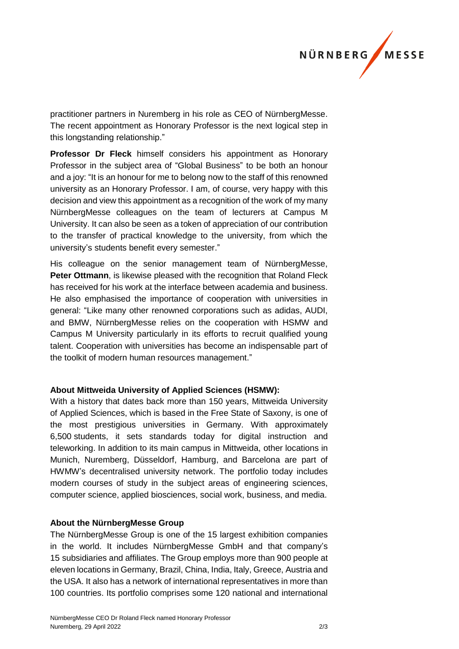

practitioner partners in Nuremberg in his role as CEO of NürnbergMesse. The recent appointment as Honorary Professor is the next logical step in this longstanding relationship."

**Professor Dr Fleck** himself considers his appointment as Honorary Professor in the subject area of "Global Business" to be both an honour and a joy: "It is an honour for me to belong now to the staff of this renowned university as an Honorary Professor. I am, of course, very happy with this decision and view this appointment as a recognition of the work of my many NürnbergMesse colleagues on the team of lecturers at Campus M University. It can also be seen as a token of appreciation of our contribution to the transfer of practical knowledge to the university, from which the university's students benefit every semester."

His colleague on the senior management team of NürnbergMesse, **Peter Ottmann**, is likewise pleased with the recognition that Roland Fleck has received for his work at the interface between academia and business. He also emphasised the importance of cooperation with universities in general: "Like many other renowned corporations such as adidas, AUDI, and BMW, NürnbergMesse relies on the cooperation with HSMW and Campus M University particularly in its efforts to recruit qualified young talent. Cooperation with universities has become an indispensable part of the toolkit of modern human resources management."

## **About Mittweida University of Applied Sciences (HSMW):**

With a history that dates back more than 150 years, Mittweida University of Applied Sciences, which is based in the Free State of Saxony, is one of the most prestigious universities in Germany. With approximately 6,500 students, it sets standards today for digital instruction and teleworking. In addition to its main campus in Mittweida, other locations in Munich, Nuremberg, Düsseldorf, Hamburg, and Barcelona are part of HWMW's decentralised university network. The portfolio today includes modern courses of study in the subject areas of engineering sciences, computer science, applied biosciences, social work, business, and media.

## **About the NürnbergMesse Group**

The NürnbergMesse Group is one of the 15 largest exhibition companies in the world. It includes NürnbergMesse GmbH and that company's 15 subsidiaries and affiliates. The Group employs more than 900 people at eleven locations in Germany, Brazil, China, India, Italy, Greece, Austria and the USA. It also has a network of international representatives in more than 100 countries. Its portfolio comprises some 120 national and international